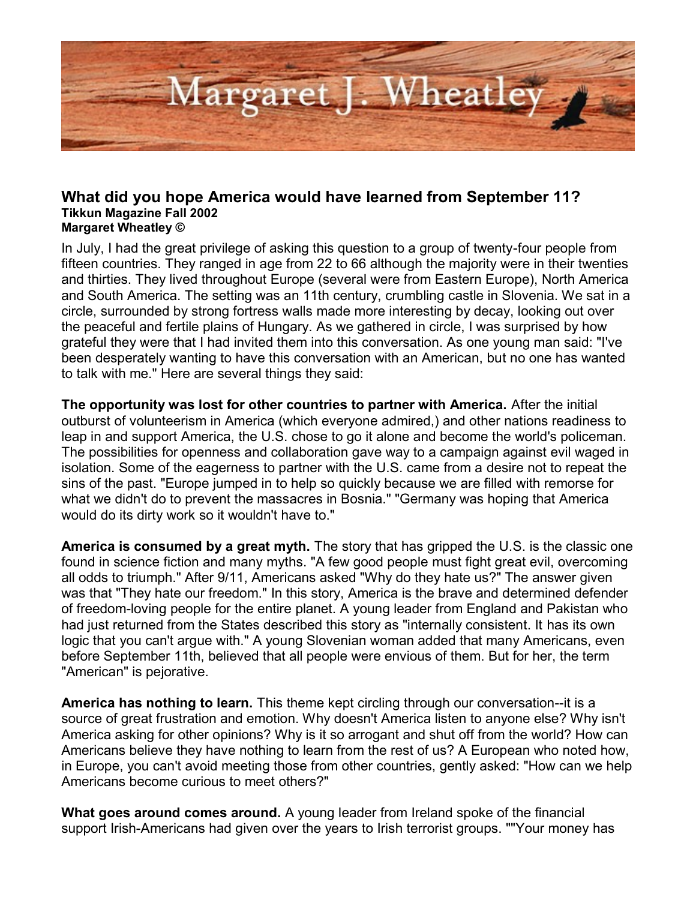

## **What did you hope America would have learned from September 11? Tikkun Magazine Fall 2002 Margaret Wheatley ©**

In July, I had the great privilege of asking this question to a group of twenty-four people from fifteen countries. They ranged in age from 22 to 66 although the majority were in their twenties and thirties. They lived throughout Europe (several were from Eastern Europe), North America and South America. The setting was an 11th century, crumbling castle in Slovenia. We sat in a circle, surrounded by strong fortress walls made more interesting by decay, looking out over the peaceful and fertile plains of Hungary. As we gathered in circle, I was surprised by how grateful they were that I had invited them into this conversation. As one young man said: "I've been desperately wanting to have this conversation with an American, but no one has wanted to talk with me." Here are several things they said:

**The opportunity was lost for other countries to partner with America.** After the initial outburst of volunteerism in America (which everyone admired,) and other nations readiness to leap in and support America, the U.S. chose to go it alone and become the world's policeman. The possibilities for openness and collaboration gave way to a campaign against evil waged in isolation. Some of the eagerness to partner with the U.S. came from a desire not to repeat the sins of the past. "Europe jumped in to help so quickly because we are filled with remorse for what we didn't do to prevent the massacres in Bosnia." "Germany was hoping that America would do its dirty work so it wouldn't have to."

**America is consumed by a great myth.** The story that has gripped the U.S. is the classic one found in science fiction and many myths. "A few good people must fight great evil, overcoming all odds to triumph." After 9/11, Americans asked "Why do they hate us?" The answer given was that "They hate our freedom." In this story, America is the brave and determined defender of freedom-loving people for the entire planet. A young leader from England and Pakistan who had just returned from the States described this story as "internally consistent. It has its own logic that you can't argue with." A young Slovenian woman added that many Americans, even before September 11th, believed that all people were envious of them. But for her, the term "American" is pejorative.

**America has nothing to learn.** This theme kept circling through our conversation--it is a source of great frustration and emotion. Why doesn't America listen to anyone else? Why isn't America asking for other opinions? Why is it so arrogant and shut off from the world? How can Americans believe they have nothing to learn from the rest of us? A European who noted how, in Europe, you can't avoid meeting those from other countries, gently asked: "How can we help Americans become curious to meet others?"

**What goes around comes around.** A young leader from Ireland spoke of the financial support Irish-Americans had given over the years to Irish terrorist groups. ""Your money has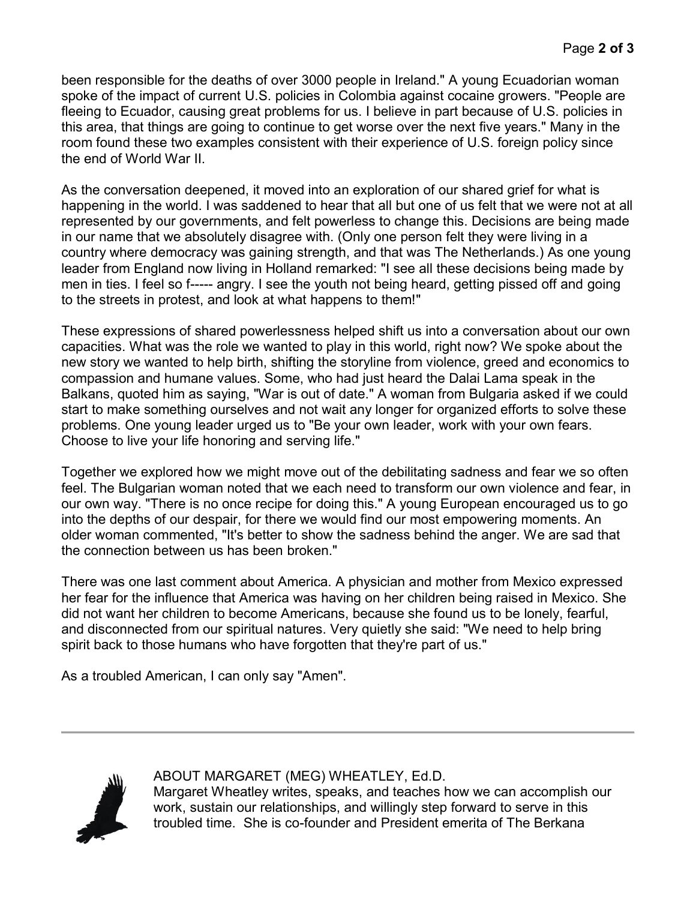been responsible for the deaths of over 3000 people in Ireland." A young Ecuadorian woman spoke of the impact of current U.S. policies in Colombia against cocaine growers. "People are fleeing to Ecuador, causing great problems for us. I believe in part because of U.S. policies in this area, that things are going to continue to get worse over the next five years." Many in the room found these two examples consistent with their experience of U.S. foreign policy since the end of World War II.

As the conversation deepened, it moved into an exploration of our shared grief for what is happening in the world. I was saddened to hear that all but one of us felt that we were not at all represented by our governments, and felt powerless to change this. Decisions are being made in our name that we absolutely disagree with. (Only one person felt they were living in a country where democracy was gaining strength, and that was The Netherlands.) As one young leader from England now living in Holland remarked: "I see all these decisions being made by men in ties. I feel so f----- angry. I see the youth not being heard, getting pissed off and going to the streets in protest, and look at what happens to them!"

These expressions of shared powerlessness helped shift us into a conversation about our own capacities. What was the role we wanted to play in this world, right now? We spoke about the new story we wanted to help birth, shifting the storyline from violence, greed and economics to compassion and humane values. Some, who had just heard the Dalai Lama speak in the Balkans, quoted him as saying, "War is out of date." A woman from Bulgaria asked if we could start to make something ourselves and not wait any longer for organized efforts to solve these problems. One young leader urged us to "Be your own leader, work with your own fears. Choose to live your life honoring and serving life."

Together we explored how we might move out of the debilitating sadness and fear we so often feel. The Bulgarian woman noted that we each need to transform our own violence and fear, in our own way. "There is no once recipe for doing this." A young European encouraged us to go into the depths of our despair, for there we would find our most empowering moments. An older woman commented, "It's better to show the sadness behind the anger. We are sad that the connection between us has been broken."

There was one last comment about America. A physician and mother from Mexico expressed her fear for the influence that America was having on her children being raised in Mexico. She did not want her children to become Americans, because she found us to be lonely, fearful, and disconnected from our spiritual natures. Very quietly she said: "We need to help bring spirit back to those humans who have forgotten that they're part of us."

As a troubled American, I can only say "Amen".



ABOUT MARGARET (MEG) WHEATLEY, Ed.D.

Margaret Wheatley writes, speaks, and teaches how we can accomplish our work, sustain our relationships, and willingly step forward to serve in this troubled time. She is co-founder and President emerita of The Berkana